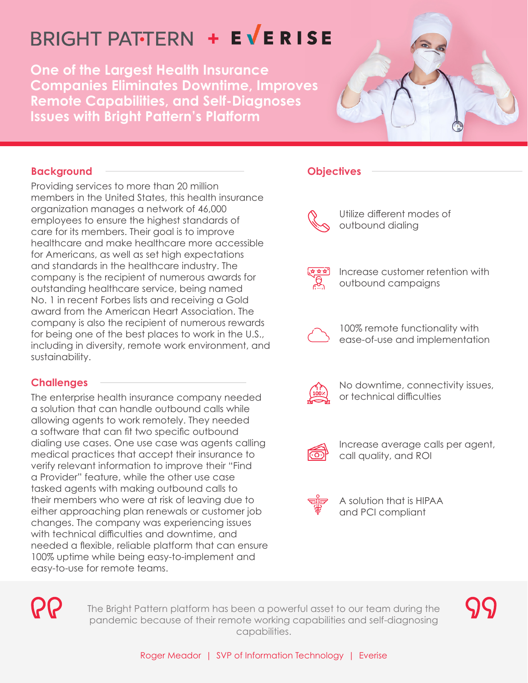# BRIGHT PATTERN + EVERISE

**One of the Largest Health Insurance Companies Eliminates Downtime, Improves Remote Capabilities, and Self-Diagnoses Issues with Bright Pattern's Platform**

# **Background**

Providing services to more than 20 million members in the United States, this health insurance organization manages a network of 46,000 employees to ensure the highest standards of care for its members. Their goal is to improve healthcare and make healthcare more accessible for Americans, as well as set high expectations and standards in the healthcare industry. The company is the recipient of numerous awards for outstanding healthcare service, being named No. 1 in recent Forbes lists and receiving a Gold award from the American Heart Association. The company is also the recipient of numerous rewards for being one of the best places to work in the U.S., including in diversity, remote work environment, and sustainability.

## **Challenges**

The enterprise health insurance company needed a solution that can handle outbound calls while allowing agents to work remotely. They needed a software that can fit two specific outbound dialing use cases. One use case was agents calling medical practices that accept their insurance to verify relevant information to improve their "Find a Provider" feature, while the other use case tasked agents with making outbound calls to their members who were at risk of leaving due to either approaching plan renewals or customer job changes. The company was experiencing issues with technical difficulties and downtime, and needed a flexible, reliable platform that can ensure 100% uptime while being easy-to-implement and easy-to-use for remote teams.

## **Objectives**



Utilize different modes of outbound dialing

政立场

Increase customer retention with outbound campaigns



100% remote functionality with ease-of-use and implementation



No downtime, connectivity issues, or technical difficulties



Increase average calls per agent, call quality, and ROI



A solution that is HIPAA and PCI compliant



The Bright Pattern platform has been a powerful asset to our team during the pandemic because of their remote working capabilities and self-diagnosing capabilities.